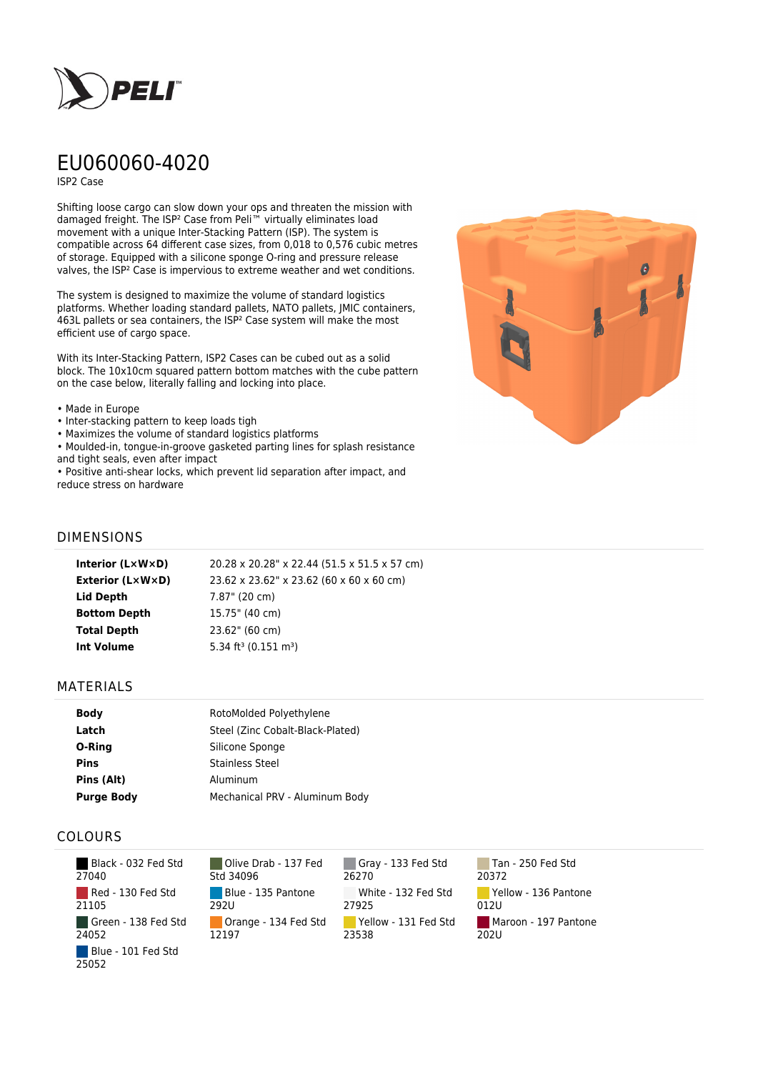

# EU060060-4020

ISP2 Case

Shifting loose cargo can slow down your ops and threaten the mission with damaged freight. The ISP² Case from Peli™ virtually eliminates load movement with a unique Inter-Stacking Pattern (ISP). The system is compatible across 64 different case sizes, from 0,018 to 0,576 cubic metres of storage. Equipped with a silicone sponge O-ring and pressure release valves, the ISP² Case is impervious to extreme weather and wet conditions.

The system is designed to maximize the volume of standard logistics platforms. Whether loading standard pallets, NATO pallets, JMIC containers, 463L pallets or sea containers, the ISP² Case system will make the most efficient use of cargo space.

With its Inter-Stacking Pattern, ISP2 Cases can be cubed out as a solid block. The 10x10cm squared pattern bottom matches with the cube pattern on the case below, literally falling and locking into place.

#### • Made in Europe

- Inter-stacking pattern to keep loads tigh
- Maximizes the volume of standard logistics platforms
- Moulded-in, tongue-in-groove gasketed parting lines for splash resistance and tight seals, even after impact

• Positive anti-shear locks, which prevent lid separation after impact, and reduce stress on hardware



## DIMENSIONS

| Interior (LxWxD)        | 20.28 x 20.28" x 22.44 (51.5 x 51.5 x 57 cm) |
|-------------------------|----------------------------------------------|
| <b>Exterior (L×W×D)</b> | 23.62 x 23.62" x 23.62 (60 x 60 x 60 cm)     |
| Lid Depth               | 7.87" (20 cm)                                |
| <b>Bottom Depth</b>     | 15.75" (40 cm)                               |
| <b>Total Depth</b>      | 23.62" (60 cm)                               |
| <b>Int Volume</b>       | 5.34 ft <sup>3</sup> (0.151 m <sup>3</sup> ) |
|                         |                                              |

### MATERIALS

| <b>Body</b>       | RotoMolded Polyethylene          |
|-------------------|----------------------------------|
| Latch             | Steel (Zinc Cobalt-Black-Plated) |
| O-Ring            | Silicone Sponge                  |
| <b>Pins</b>       | <b>Stainless Steel</b>           |
| Pins (Alt)        | Aluminum                         |
| <b>Purge Body</b> | Mechanical PRV - Aluminum Body   |

## COLOURS

 Black - 032 Fed Std 27040 Red - 130 Fed Std 21105 Green - 138 Fed Std 24052 Blue - 101 Fed Std 25052

Olive Drab - 137 Fed Std 34096 Blue - 135 Pantone 292U Orange - 134 Fed Std 12197

Gray - 133 Fed Std 26270 White - 132 Fed Std 27925 Yellow - 131 Fed Std 23538

Tan - 250 Fed Std 20372 Yellow - 136 Pantone 012U Maroon - 197 Pantone  $202U$